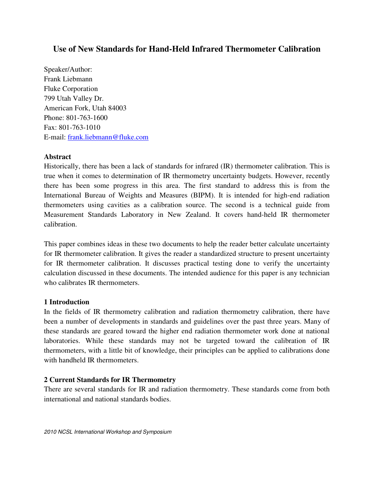# **Use of New Standards for Hand-Held Infrared Thermometer Calibration**

Speaker/Author: Frank Liebmann Fluke Corporation 799 Utah Valley Dr. American Fork, Utah 84003 Phone: 801-763-1600 Fax: 801-763-1010 E-mail: frank.liebmann@fluke.com

# **Abstract**

Historically, there has been a lack of standards for infrared (IR) thermometer calibration. This is true when it comes to determination of IR thermometry uncertainty budgets. However, recently there has been some progress in this area. The first standard to address this is from the International Bureau of Weights and Measures (BIPM). It is intended for high-end radiation thermometers using cavities as a calibration source. The second is a technical guide from Measurement Standards Laboratory in New Zealand. It covers hand-held IR thermometer calibration.

This paper combines ideas in these two documents to help the reader better calculate uncertainty for IR thermometer calibration. It gives the reader a standardized structure to present uncertainty for IR thermometer calibration. It discusses practical testing done to verify the uncertainty calculation discussed in these documents. The intended audience for this paper is any technician who calibrates IR thermometers.

# **1 Introduction**

In the fields of IR thermometry calibration and radiation thermometry calibration, there have been a number of developments in standards and guidelines over the past three years. Many of these standards are geared toward the higher end radiation thermometer work done at national laboratories. While these standards may not be targeted toward the calibration of IR thermometers, with a little bit of knowledge, their principles can be applied to calibrations done with handheld IR thermometers.

# **2 Current Standards for IR Thermometry**

There are several standards for IR and radiation thermometry. These standards come from both international and national standards bodies.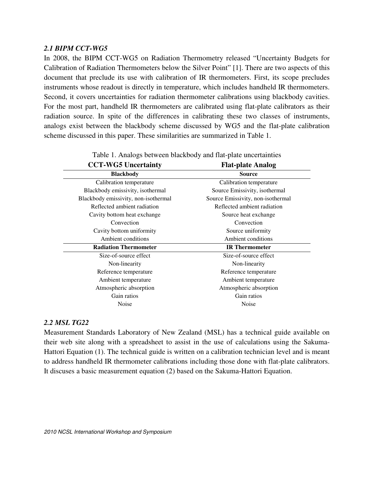# *2.1 BIPM CCT-WG5*

In 2008, the BIPM CCT-WG5 on Radiation Thermometry released "Uncertainty Budgets for Calibration of Radiation Thermometers below the Silver Point" [1]. There are two aspects of this document that preclude its use with calibration of IR thermometers. First, its scope precludes instruments whose readout is directly in temperature, which includes handheld IR thermometers. Second, it covers uncertainties for radiation thermometer calibrations using blackbody cavities. For the most part, handheld IR thermometers are calibrated using flat-plate calibrators as their radiation source. In spite of the differences in calibrating these two classes of instruments, analogs exist between the blackbody scheme discussed by WG5 and the flat-plate calibration scheme discussed in this paper. These similarities are summarized in Table 1.

| <b>CCT-WG5 Uncertainty</b>           | <b>Flat-plate Analog</b>          |  |
|--------------------------------------|-----------------------------------|--|
| <b>Blackbody</b>                     | <b>Source</b>                     |  |
| Calibration temperature              | Calibration temperature           |  |
| Blackbody emissivity, isothermal     | Source Emissivity, isothermal     |  |
| Blackbody emissivity, non-isothermal | Source Emissivity, non-isothermal |  |
| Reflected ambient radiation          | Reflected ambient radiation       |  |
| Cavity bottom heat exchange          | Source heat exchange              |  |
| Convection                           | Convection                        |  |
| Cavity bottom uniformity             | Source uniformity                 |  |
| Ambient conditions                   | Ambient conditions                |  |
| <b>Radiation Thermometer</b>         | <b>IR</b> Thermometer             |  |
| Size-of-source effect                | Size-of-source effect             |  |
| Non-linearity                        | Non-linearity                     |  |
| Reference temperature                | Reference temperature             |  |
| Ambient temperature                  | Ambient temperature               |  |
| Atmospheric absorption               | Atmospheric absorption            |  |
| Gain ratios                          | Gain ratios                       |  |
| <b>Noise</b>                         | Noise                             |  |

#### Table 1. Analogs between blackbody and flat-plate uncertainties

# *2.2 MSL TG22*

Measurement Standards Laboratory of New Zealand (MSL) has a technical guide available on their web site along with a spreadsheet to assist in the use of calculations using the Sakuma-Hattori Equation (1). The technical guide is written on a calibration technician level and is meant to address handheld IR thermometer calibrations including those done with flat-plate calibrators. It discuses a basic measurement equation (2) based on the Sakuma-Hattori Equation.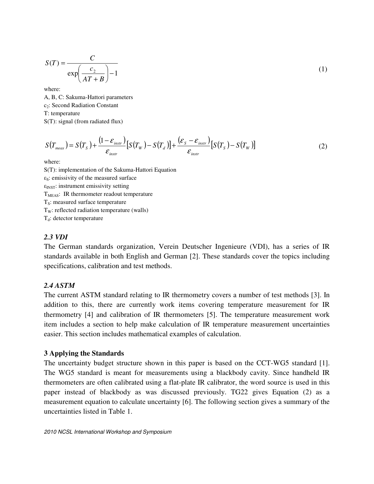$$
S(T) = \frac{C}{\exp\left(\frac{c_2}{AT+B}\right) - 1} \tag{1}
$$

where:

A, B, C: Sakuma-Hattori parameters c<sub>2</sub>: Second Radiation Constant T: temperature S(T): signal (from radiated flux)

$$
S(T_{\text{meas}}) = S(T_s) + \frac{(1 - \varepsilon_{\text{instr}})}{\varepsilon_{\text{instr}}}[S(T_w) - S(T_d)] + \frac{(\varepsilon_s - \varepsilon_{\text{instr}})}{\varepsilon_{\text{instr}}}[S(T_s) - S(T_w)]
$$
(2)

where:

S(T): implementation of the Sakuma-Hattori Equation  $\varepsilon_{S}$ : emissivity of the measured surface  $\epsilon_{\text{INST}}$ : instrument emissivity setting  $T<sub>MEAS</sub>$ : IR thermometer readout temperature  $T<sub>S</sub>$ : measured surface temperature  $T_w$ : reflected radiation temperature (walls)  $T_d$ : detector temperature

#### *2.3 VDI*

The German standards organization, Verein Deutscher Ingenieure (VDI), has a series of IR standards available in both English and German [2]. These standards cover the topics including specifications, calibration and test methods.

#### *2.4 ASTM*

The current ASTM standard relating to IR thermometry covers a number of test methods [3]. In addition to this, there are currently work items covering temperature measurement for IR thermometry [4] and calibration of IR thermometers [5]. The temperature measurement work item includes a section to help make calculation of IR temperature measurement uncertainties easier. This section includes mathematical examples of calculation.

#### **3 Applying the Standards**

The uncertainty budget structure shown in this paper is based on the CCT-WG5 standard [1]. The WG5 standard is meant for measurements using a blackbody cavity. Since handheld IR thermometers are often calibrated using a flat-plate IR calibrator, the word source is used in this paper instead of blackbody as was discussed previously. TG22 gives Equation (2) as a measurement equation to calculate uncertainty [6]. The following section gives a summary of the uncertainties listed in Table 1.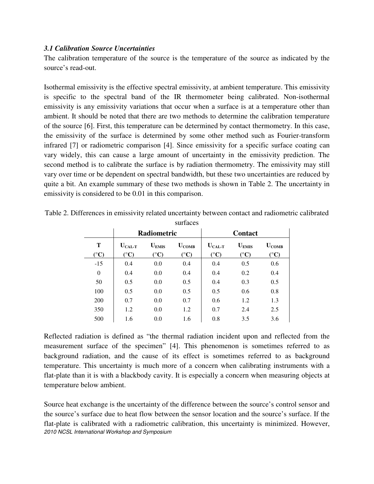# *3.1 Calibration Source Uncertainties*

The calibration temperature of the source is the temperature of the source as indicated by the source's read-out.

Isothermal emissivity is the effective spectral emissivity, at ambient temperature. This emissivity is specific to the spectral band of the IR thermometer being calibrated. Non-isothermal emissivity is any emissivity variations that occur when a surface is at a temperature other than ambient. It should be noted that there are two methods to determine the calibration temperature of the source [6]. First, this temperature can be determined by contact thermometry. In this case, the emissivity of the surface is determined by some other method such as Fourier-transform infrared [7] or radiometric comparison [4]. Since emissivity for a specific surface coating can vary widely, this can cause a large amount of uncertainty in the emissivity prediction. The second method is to calibrate the surface is by radiation thermometry. The emissivity may still vary over time or be dependent on spectral bandwidth, but these two uncertainties are reduced by quite a bit. An example summary of these two methods is shown in Table 2. The uncertainty in emissivity is considered to be 0.01 in this comparison.

| ouinvoo                    |                                       |                                     |                                     |                                               |                                     |                                     |
|----------------------------|---------------------------------------|-------------------------------------|-------------------------------------|-----------------------------------------------|-------------------------------------|-------------------------------------|
|                            | Radiometric                           |                                     | <b>Contact</b>                      |                                               |                                     |                                     |
| Т<br>$({}^{\circ}{\bf C})$ | $U_{\text{CAL-T}}$<br>$({}^{\circ}C)$ | $U_{EMIS}$<br>$({}^{\circ}{\bf C})$ | $U_{COMB}$<br>$({}^{\circ}{\rm C})$ | $U_{\rm CAL-T}$<br>$({}^{\circ}{\mathbf{C}})$ | $U_{EMIS}$<br>$({}^{\circ}{\bf C})$ | $U_{COMB}$<br>$({}^{\circ}{\rm C})$ |
| $-15$                      | 0.4                                   | 0.0                                 | 0.4                                 | 0.4                                           | 0.5                                 | 0.6                                 |
| $\boldsymbol{0}$           | 0.4                                   | 0.0                                 | 0.4                                 | 0.4                                           | 0.2                                 | 0.4                                 |
| 50                         | 0.5                                   | 0.0                                 | 0.5                                 | 0.4                                           | 0.3                                 | 0.5                                 |
| 100                        | 0.5                                   | 0.0                                 | 0.5                                 | 0.5                                           | 0.6                                 | 0.8                                 |
| 200                        | 0.7                                   | 0.0                                 | 0.7                                 | 0.6                                           | 1.2                                 | 1.3                                 |
| 350                        | 1.2                                   | 0.0                                 | 1.2                                 | 0.7                                           | 2.4                                 | 2.5                                 |
| 500                        | 1.6                                   | 0.0                                 | 1.6                                 | 0.8                                           | 3.5                                 | 3.6                                 |

Table 2. Differences in emissivity related uncertainty between contact and radiometric calibrated surfaces

Reflected radiation is defined as "the thermal radiation incident upon and reflected from the measurement surface of the specimen" [4]. This phenomenon is sometimes referred to as background radiation, and the cause of its effect is sometimes referred to as background temperature. This uncertainty is much more of a concern when calibrating instruments with a flat-plate than it is with a blackbody cavity. It is especially a concern when measuring objects at temperature below ambient.

2010 NCSL International Workshop and Symposium Source heat exchange is the uncertainty of the difference between the source's control sensor and the source's surface due to heat flow between the sensor location and the source's surface. If the flat-plate is calibrated with a radiometric calibration, this uncertainty is minimized. However,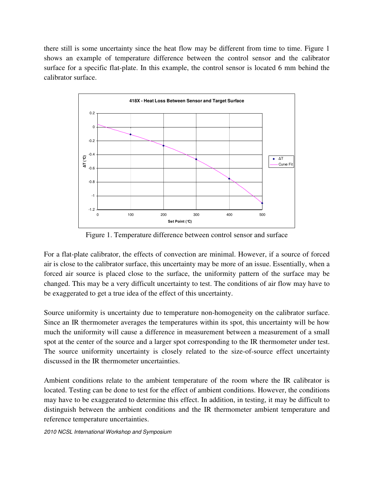there still is some uncertainty since the heat flow may be different from time to time. Figure 1 shows an example of temperature difference between the control sensor and the calibrator surface for a specific flat-plate. In this example, the control sensor is located 6 mm behind the calibrator surface.



Figure 1. Temperature difference between control sensor and surface

For a flat-plate calibrator, the effects of convection are minimal. However, if a source of forced air is close to the calibrator surface, this uncertainty may be more of an issue. Essentially, when a forced air source is placed close to the surface, the uniformity pattern of the surface may be changed. This may be a very difficult uncertainty to test. The conditions of air flow may have to be exaggerated to get a true idea of the effect of this uncertainty.

Source uniformity is uncertainty due to temperature non-homogeneity on the calibrator surface. Since an IR thermometer averages the temperatures within its spot, this uncertainty will be how much the uniformity will cause a difference in measurement between a measurement of a small spot at the center of the source and a larger spot corresponding to the IR thermometer under test. The source uniformity uncertainty is closely related to the size-of-source effect uncertainty discussed in the IR thermometer uncertainties.

Ambient conditions relate to the ambient temperature of the room where the IR calibrator is located. Testing can be done to test for the effect of ambient conditions. However, the conditions may have to be exaggerated to determine this effect. In addition, in testing, it may be difficult to distinguish between the ambient conditions and the IR thermometer ambient temperature and reference temperature uncertainties.

2010 NCSL International Workshop and Symposium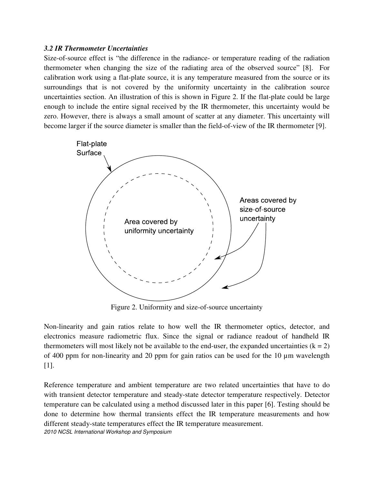# *3.2 IR Thermometer Uncertainties*

Size-of-source effect is "the difference in the radiance- or temperature reading of the radiation thermometer when changing the size of the radiating area of the observed source" [8]. For calibration work using a flat-plate source, it is any temperature measured from the source or its surroundings that is not covered by the uniformity uncertainty in the calibration source uncertainties section. An illustration of this is shown in Figure 2. If the flat-plate could be large enough to include the entire signal received by the IR thermometer, this uncertainty would be zero. However, there is always a small amount of scatter at any diameter. This uncertainty will become larger if the source diameter is smaller than the field-of-view of the IR thermometer [9].



Figure 2. Uniformity and size-of-source uncertainty

Non-linearity and gain ratios relate to how well the IR thermometer optics, detector, and electronics measure radiometric flux. Since the signal or radiance readout of handheld IR thermometers will most likely not be available to the end-user, the expanded uncertainties  $(k = 2)$ of 400 ppm for non-linearity and 20 ppm for gain ratios can be used for the 10 µm wavelength [1].

2010 NCSL International Workshop and Symposium Reference temperature and ambient temperature are two related uncertainties that have to do with transient detector temperature and steady-state detector temperature respectively. Detector temperature can be calculated using a method discussed later in this paper [6]. Testing should be done to determine how thermal transients effect the IR temperature measurements and how different steady-state temperatures effect the IR temperature measurement.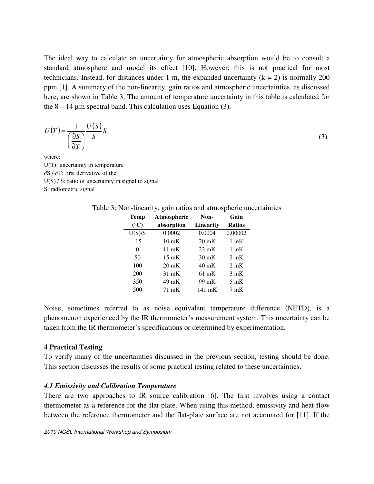The ideal way to calculate an uncertainty for atmospheric absorption would be to consult a standard atmosphere and model its effect [10]. However, this is not practical for most technicians. Instead, for distances under 1 m, the expanded uncertainty  $(k = 2)$  is normally 200 ppm [1]. A summary of the non-linearity, gain ratios and atmospheric uncertainties, as discussed here, are shown in Table 3. The amount of temperature uncertainty in this table is calculated for the  $8 - 14$  µm spectral band. This calculation uses Equation (3).

$$
U(T) = \frac{1}{\left(\frac{\partial S}{\partial T}\right)} \frac{U(S)}{S} S
$$

(3)

where: U(T): uncertainty in temperature ∂S / ∂T: first derivative of the  $U(S)$  / S: ratio of uncertainty in signal to signal S: radiometric signal

| <b>Temp</b>     | Atmospheric     | Non-             | Gain           |
|-----------------|-----------------|------------------|----------------|
| $({}^{\circ}C)$ | absorption      | <b>Linearity</b> | <b>Ratios</b>  |
| U(S)/S          | 0.0002          | 0.0004           | 0.00002        |
| $-15$           | $10 \text{ mK}$ | $20 \text{ mK}$  | $1 \text{ mK}$ |
| 0               | $11 \text{ mK}$ | $22 \text{ mK}$  | $1 \text{ mK}$ |
| 50              | $15 \text{ mK}$ | $30 \text{ mK}$  | $2 \text{ mK}$ |
| 100             | $20 \text{ mK}$ | 40 mK            | $2 \text{ mK}$ |
| 200             | $31 \text{ mK}$ | $61 \text{ mK}$  | $3 \text{ mK}$ |
| 350             | 49 mK           | 99 mK            | $5 \text{ mK}$ |
| 500             | 71 mK           | 141 mK           | $7 \text{ mK}$ |

Table 3: Non-linearity, gain ratios and atmospheric uncertainties

Noise, sometimes referred to as noise equivalent temperature difference (NETD), is a phenomenon experienced by the IR thermometer's measurement system. This uncertainty can be taken from the IR thermometer's specifications or determined by experimentation.

# **4 Practical Testing**

To verify many of the uncertainties discussed in the previous section, testing should be done. This section discusses the results of some practical testing related to these uncertainties.

# *4.1 Emissivity and Calibration Temperature*

There are two approaches to IR source calibration [6]. The first involves using a contact thermometer as a reference for the flat-plate. When using this method, emissivity and heat-flow between the reference thermometer and the flat-plate surface are not accounted for [11]. If the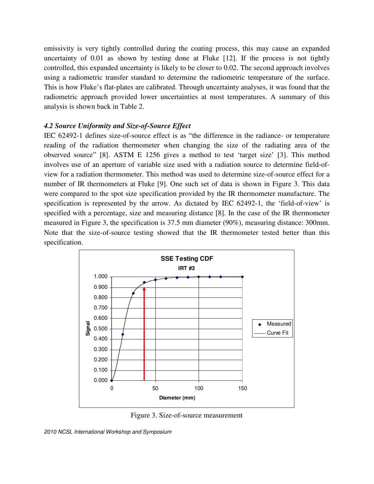emissivity is very tightly controlled during the coating process, this may cause an expanded uncertainty of 0.01 as shown by testing done at Fluke [12]. If the process is not tightly controlled, this expanded uncertainty is likely to be closer to 0.02. The second approach involves using a radiometric transfer standard to determine the radiometric temperature of the surface. This is how Fluke's flat-plates are calibrated. Through uncertainty analyses, it was found that the radiometric approach provided lower uncertainties at most temperatures. A summary of this analysis is shown back in Table 2.

#### *4.2 Source Uniformity and Size-of-Source Effect*

IEC 62492-1 defines size-of-source effect is as "the difference in the radiance- or temperature reading of the radiation thermometer when changing the size of the radiating area of the observed source" [8]. ASTM E 1256 gives a method to test 'target size' [3]. This method involves use of an aperture of variable size used with a radiation source to determine field-ofview for a radiation thermometer. This method was used to determine size-of-source effect for a number of IR thermometers at Fluke [9]. One such set of data is shown in Figure 3. This data were compared to the spot size specification provided by the IR thermometer manufacture. The specification is represented by the arrow. As dictated by IEC 62492-1, the 'field-of-view' is specified with a percentage, size and measuring distance [8]. In the case of the IR thermometer measured in Figure 3, the specification is 37.5 mm diameter (90%), measuring distance: 300mm. Note that the size-of-source testing showed that the IR thermometer tested better than this specification.



Figure 3. Size-of-source measurement

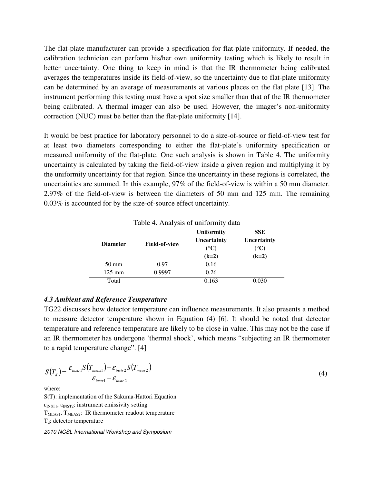The flat-plate manufacturer can provide a specification for flat-plate uniformity. If needed, the calibration technician can perform his/her own uniformity testing which is likely to result in better uncertainty. One thing to keep in mind is that the IR thermometer being calibrated averages the temperatures inside its field-of-view, so the uncertainty due to flat-plate uniformity can be determined by an average of measurements at various places on the flat plate [13]. The instrument performing this testing must have a spot size smaller than that of the IR thermometer being calibrated. A thermal imager can also be used. However, the imager's non-uniformity correction (NUC) must be better than the flat-plate uniformity [14].

It would be best practice for laboratory personnel to do a size-of-source or field-of-view test for at least two diameters corresponding to either the flat-plate's uniformity specification or measured uniformity of the flat-plate. One such analysis is shown in Table 4. The uniformity uncertainty is calculated by taking the field-of-view inside a given region and multiplying it by the uniformity uncertainty for that region. Since the uncertainty in these regions is correlated, the uncertainties are summed. In this example, 97% of the field-of-view is within a 50 mm diameter. 2.97% of the field-of-view is between the diameters of 50 mm and 125 mm. The remaining 0.03% is accounted for by the size-of-source effect uncertainty.

| <b>Diameter</b>  | <b>Field-of-view</b> | <b>Uniformity</b><br>Uncertainty<br>$({}^{\circ}C)$<br>$(k=2)$ | <b>SSE</b><br>Uncertainty<br>$({}^{\circ}C)$<br>$(k=2)$ |
|------------------|----------------------|----------------------------------------------------------------|---------------------------------------------------------|
| $50 \text{ mm}$  | 0.97                 | 0.16                                                           |                                                         |
| $125 \text{ mm}$ | 0.9997               | 0.26                                                           |                                                         |
| Total            |                      | 0.163                                                          | 0.030                                                   |

Table 4. Analysis of uniformity data

# *4.3 Ambient and Reference Temperature*

TG22 discusses how detector temperature can influence measurements. It also presents a method to measure detector temperature shown in Equation (4) [6]. It should be noted that detector temperature and reference temperature are likely to be close in value. This may not be the case if an IR thermometer has undergone 'thermal shock', which means "subjecting an IR thermometer to a rapid temperature change". [4]

$$
S(T_d) = \frac{\varepsilon_{instr1} S(T_{meas1}) - \varepsilon_{instr2} S(T_{meas2})}{\varepsilon_{instr1} - \varepsilon_{instr2}}
$$
\n(4)

where:

S(T): implementation of the Sakuma-Hattori Equation  $\epsilon_{\text{INST1}}$ ,  $\epsilon_{\text{INST2}}$ : instrument emissivity setting  $T<sub>MEASI</sub>, T<sub>MEAS2</sub>$ : IR thermometer readout temperature  $T_d$ : detector temperature

2010 NCSL International Workshop and Symposium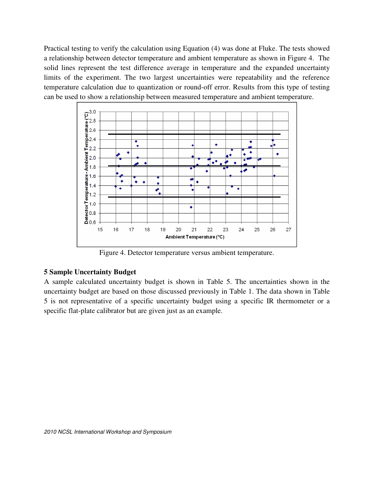Practical testing to verify the calculation using Equation (4) was done at Fluke. The tests showed a relationship between detector temperature and ambient temperature as shown in Figure 4. The solid lines represent the test difference average in temperature and the expanded uncertainty limits of the experiment. The two largest uncertainties were repeatability and the reference temperature calculation due to quantization or round-off error. Results from this type of testing can be used to show a relationship between measured temperature and ambient temperature.



Figure 4. Detector temperature versus ambient temperature.

# **5 Sample Uncertainty Budget**

A sample calculated uncertainty budget is shown in Table 5. The uncertainties shown in the uncertainty budget are based on those discussed previously in Table 1. The data shown in Table 5 is not representative of a specific uncertainty budget using a specific IR thermometer or a specific flat-plate calibrator but are given just as an example.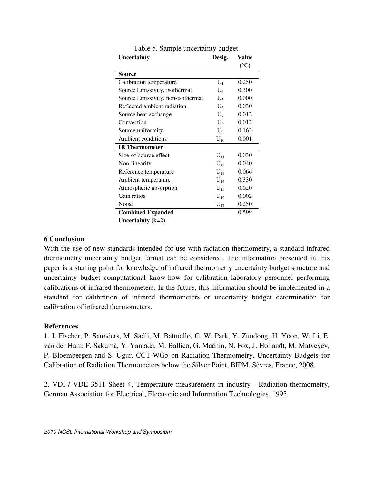| Uncertainty                       | Desig.         | Value           |
|-----------------------------------|----------------|-----------------|
|                                   |                | $({}^{\circ}C)$ |
| <b>Source</b>                     |                |                 |
| Calibration temperature           | $\mathbf{U}_1$ | 0.250           |
| Source Emissivity, isothermal     | $\mathrm{U}_4$ | 0.300           |
| Source Emissivity, non-isothermal | $U_5$          | 0.000           |
| Reflected ambient radiation       | $U_6$          | 0.030           |
| Source heat exchange              | $U_7$          | 0.012           |
| Convection                        | $U_{8}$        | 0.012           |
| Source uniformity                 | $U_9$          | 0.163           |
| Ambient conditions                | $U_{10}$       | 0.001           |
| <b>IR</b> Thermometer             |                |                 |
| Size-of-source effect             | $U_{11}$       | 0.030           |
| Non-linearity                     | $U_{12}$       | 0.040           |
| Reference temperature             | $U_{13}$       | 0.066           |
| Ambient temperature               | $U_{14}$       | 0.330           |
| Atmospheric absorption            | $U_{15}$       | 0.020           |
| Gain ratios                       | $U_{16}$       | 0.002           |
| Noise                             | $U_{17}$       | 0.250           |
| <b>Combined Expanded</b>          |                | 0.599           |
| Uncertainty $(k=2)$               |                |                 |

Table 5. Sample uncertainty budget.

# **6 Conclusion**

With the use of new standards intended for use with radiation thermometry, a standard infrared thermometry uncertainty budget format can be considered. The information presented in this paper is a starting point for knowledge of infrared thermometry uncertainty budget structure and uncertainty budget computational know-how for calibration laboratory personnel performing calibrations of infrared thermometers. In the future, this information should be implemented in a standard for calibration of infrared thermometers or uncertainty budget determination for calibration of infrared thermometers.

# **References**

1. J. Fischer, P. Saunders, M. Sadli, M. Battuello, C. W. Park, Y. Zundong, H. Yoon, W. Li, E. van der Ham, F. Sakuma, Y. Yamada, M. Ballico, G. Machin, N. Fox, J. Hollandt, M. Matveyev, P. Bloembergen and S. Ugur, CCT-WG5 on Radiation Thermometry, Uncertainty Budgets for Calibration of Radiation Thermometers below the Silver Point, BIPM, Sèvres, France, 2008.

2. VDI / VDE 3511 Sheet 4, Temperature measurement in industry - Radiation thermometry, German Association for Electrical, Electronic and Information Technologies, 1995.